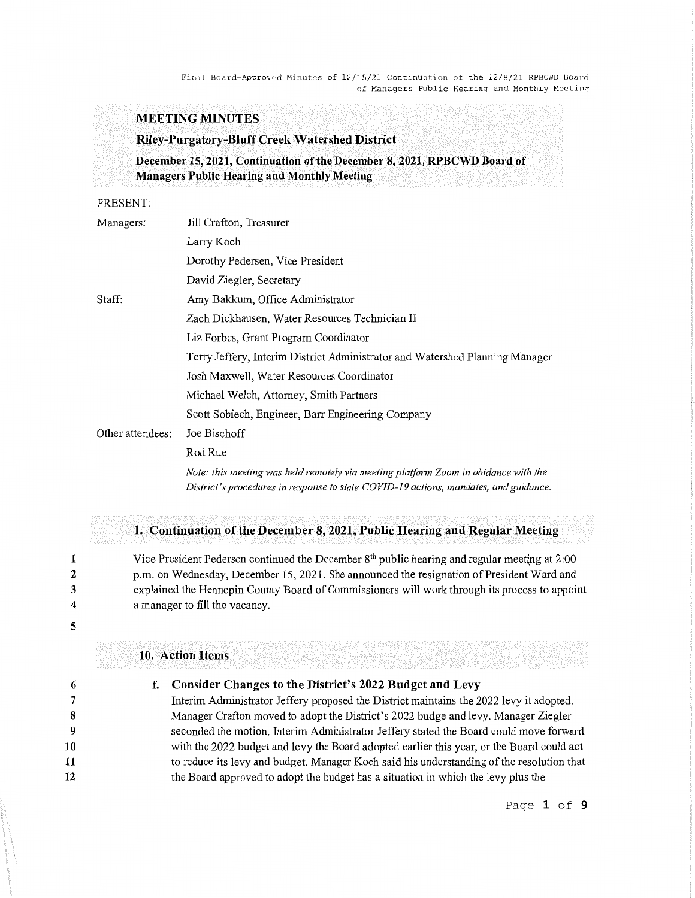## **MEETING MINUTES**

### **Riley-Purgatory-Bluff Creek Watershed District**

**December 15, 2021, Continuation of the December 8, 2021, RPBCWD Board of Managers Public Hearing and Monthly Meeting** 

## PRESENT:

| Managers:        | Jill Crafton, Treasurer                                                                                                                                                     |
|------------------|-----------------------------------------------------------------------------------------------------------------------------------------------------------------------------|
|                  | Larry Koch                                                                                                                                                                  |
|                  | Dorothy Pedersen, Vice President                                                                                                                                            |
|                  | David Ziegler, Secretary                                                                                                                                                    |
| Staff:           | Amy Bakkum, Office Administrator                                                                                                                                            |
|                  | Zach Dickhausen, Water Resources Technician II                                                                                                                              |
|                  | Liz Forbes, Grant Program Coordinator                                                                                                                                       |
|                  | Terry Jeffery, Interim District Administrator and Watershed Planning Manager                                                                                                |
|                  | Josh Maxwell, Water Resources Coordinator                                                                                                                                   |
|                  | Michael Welch, Attorney, Smith Partners                                                                                                                                     |
| Other attendees: | Scott Sobiech, Engineer, Barr Engineering Company                                                                                                                           |
|                  | Joe Bischoff                                                                                                                                                                |
|                  | Rod Rue                                                                                                                                                                     |
|                  | Note: this meeting was held remotely via meeting platform Zoom in abidance with the<br>District's procedures in response to state COVID-19 actions, mandates, and guidance. |

## **1. Continuation of the December 8, 2021, Public Hearing and Regular Meeting**

Vice President Pedersen continued the December 8<sup>th</sup> public hearing and regular meeting at 2:00 p.m. on Wednesday, December 15, 2021. She announced the resignation of President Ward and explained the Hennepin County Board of Commissioners will work through its process to appoint a manager to fill the vacancy.

**4 5** 

**1 2 3** 

#### **10. Action Items**

### **f. Consider Changes to the District's 2022 Budget and Levy**

Interim Administrator Jeffery proposed the District maintains the 2022 levy it adopted. Manager Crafton moved to adopt the District's 2022 budge and levy. Manager Ziegler seconded the motion. Interim Administrator Jeffery stated the Board could move forward with the 2022 budget and levy the Board adopted earlier this year, or the Board could act to reduce its levy and budget. Manager Koch said his understanding of the resolution that the Board approved to adopt the budget has a situation in which the levy plus the

Page **1 of 9**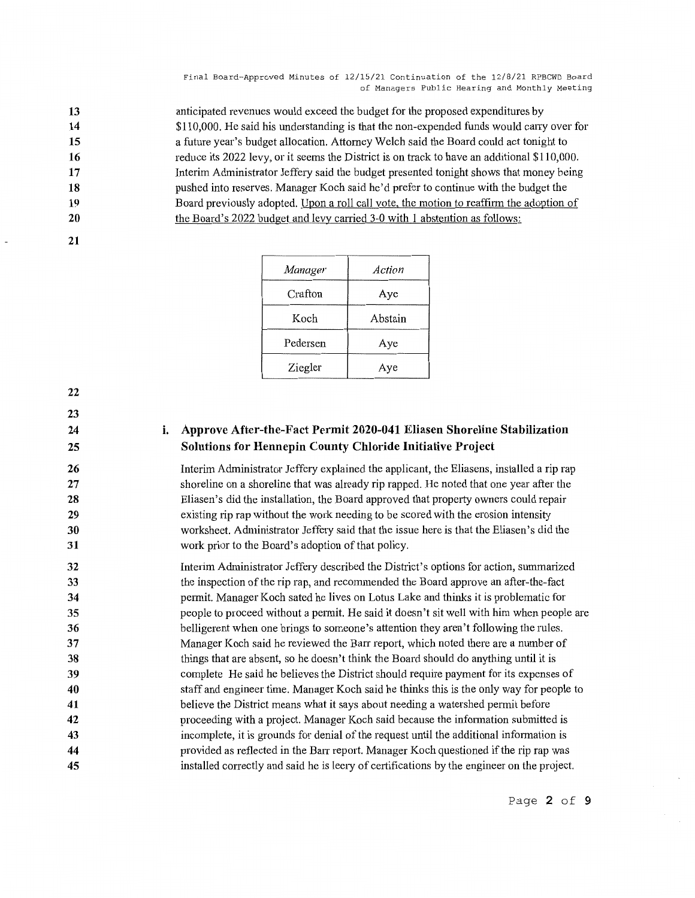anticipated revenues would exceed the budget for the proposed expenditures by \$110,000. He said his understanding is that the non-expended funds would cany over for a future year's budget allocation. Attorney Welch said the Board could act tonight to reduce its 2022 levy, or it seems the District is on track to have an additional \$110,000. Interim Administrator Jeffery said the budget presented tonight shows that money being pushed into reserves. Manager Koch said he'd prefer to continue with the budget the Board previously adopted. Upon a roll call vote, the motion to reaffirm the adoption of the Board's 2022 budget and levy carried 3-0 with 1 abstention as follows:

**20 21** 

| Manager  | Action  |
|----------|---------|
| Crafton  | Aye     |
| Koch     | Abstain |
| Pedersen | Aye     |
| Ziegler  | Aye     |

**22** 

**23 24** 

**25** 

# **i. Approve After-the-Fact Permit 2020-041 Eliasen Shoreline Stabilization Solutions for Hennepin County Chloride Initiative Project**

Interim Administrator Jeffery explained the applicant, the Eliasens, installed a rip rap shoreline on a shoreline that was already rip rapped. He noted that one year after the Eliasen's did the installation, the Board approved that property owners could repair existing rip rap without the work needing to be scored with the erosion intensity worksheet. Administrator Jeffery said that the issue here is that the Eliasen's did the work prior to the Board's adoption of that policy.

**32 33 34 35 36 37 38 39 40 41 42 43 44 45**  Interim Administrator Jeffery described the District's options for action, summarized the inspection of the rip rap, and recommended the Board approve an after-the-fact permit. Manager Koch sated he lives on Lotus Lake and thinks it is problematic for people to proceed without a permit. He said it doesn't sit well with him when people are belligerent when one brings to someone's attention they aren't following the rules. Manager Koch said he reviewed the Barr report, which noted there are a number of things that are absent, so he doesn't think the Board should do anything until it is complete He said he believes the District should require payment for its expenses of staff and engineer time. Manager Koch said he thinks this is the only way for people to believe the District means what it says about needing a watershed permit before proceeding with a project. Manager Koch said because the information submitted is incomplete, it is grounds for denial of the request until the additional information is provided as reflected in the Barr report. Manager Koch questioned if the rip rap was installed correctly and said he is leery of certifications by the engineer on the project.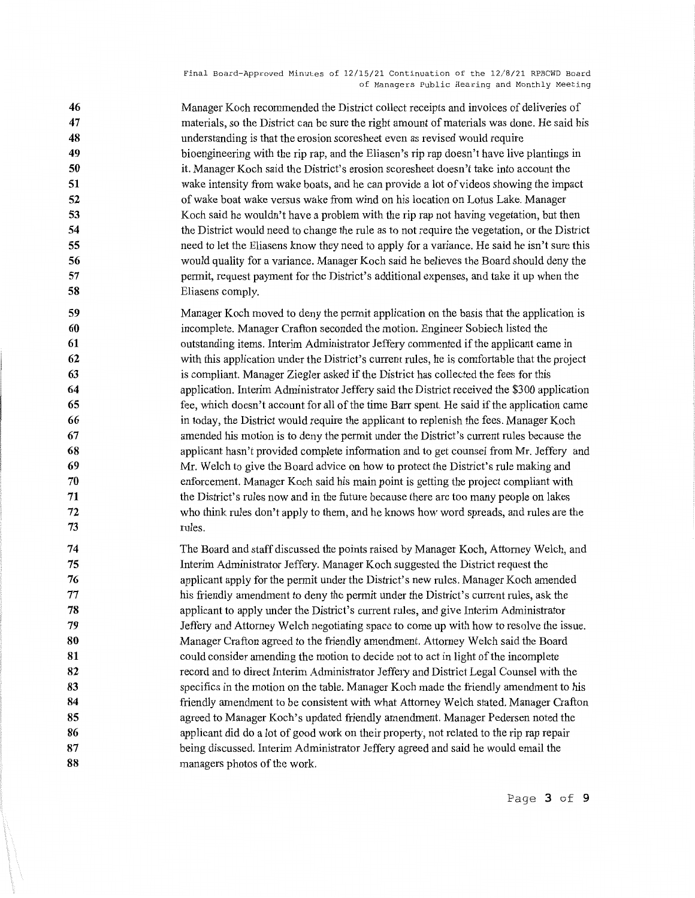Manager Koch recommended the District collect receipts and invoices of deliveries of materials, so the District can be sure the right amount of materials was done. He said his understanding is that the erosion scoresheet even as revised would require bioengineering with the rip rap, and the Eliasen's rip rap doesn't have live plantings in it. Manager Koch said the District's erosion scoresheet doesn't take into account the wake intensity from wake boats, and he can provide a lot of videos showing the impact of wake boat wake versus wake from wind on his location on Lotus Lake. Manager Koch said he wouldn't have a problem with the rip rap not having vegetation, but then the District would need to change the rule as to not require the vegetation, or the District need to let the Eliasens know they need to apply for a variance. He said he isn't sure this would quality for a variance. Manager Koch said he believes the Board should deny the permit, request payment for the District's additional expenses, and take it up when the Eliasens comply.

- **59 60 61 62 63 64 65 66 67 68 69 70 71 72 73**  Manager Koch moved to deny the permit application on the basis that the application is incomplete. Manager Crafton seconded the motion. Engineer Sobiech listed the outstanding items. Interim Administrator Jeffery commented if the applicant came in with this application under the District's current rules, he is comfortable that the project is compliant. Manager Ziegler asked if the District has collected the fees for this application. Interim Administrator Jeffery said the District received the \$300 application fee, which doesn't account for all of the time Barr spent. He said if the application came in today, the District would require the applicant to replenish the fees. Manager Koch amended his motion is to deny the permit under the District's current rules because the applicant hasn't provided complete information and to get counsel from Mr. Jeffery and Mr. Welch to give the Board advice on how to protect the District's rule making and enforcement. Manager Koch said his main point is getting the project compliant with the District's rules now and in the future because there are too many people on lakes who think rules don't apply to them, and he knows how word spreads, and rules are the rules.
- **74 75 76**  77 **78 79 80 81 82 83 84 85 86 87 88**  The Board and staff discussed the points raised by Manager Koch, Attorney Welch, and Interim Administrator Jeffery. Manager Koch suggested the District request the applicant apply for the permit under the District's new rules. Manager Koch amended his friendly amendment to deny the permit under the District's current rules, ask the applicant to apply under the District's current rules, and give Interim Administrator Jeffery and Attorney Welch negotiating space to come up with how to resolve the issue. Manager Crafton agreed to the friendly amendment. Attorney Welch said the Board could consider amending the motion to decide not to act in light of the incomplete record and to direct Interim Administrator Jeffery and District Legal Counsel with the specifics in the motion on the table. Manager Koch made the friendly amendment to his friendly amendment to be consistent with what Attorney Welch stated. Manager Crafton agreed to Manager Koch's updated friendly amendment. Manager Pedersen noted the applicant did do a lot of good work on their property, not related to the rip rap repair being discussed. Interim Administrator Jeffery agreed and said he would email the managers photos of the work.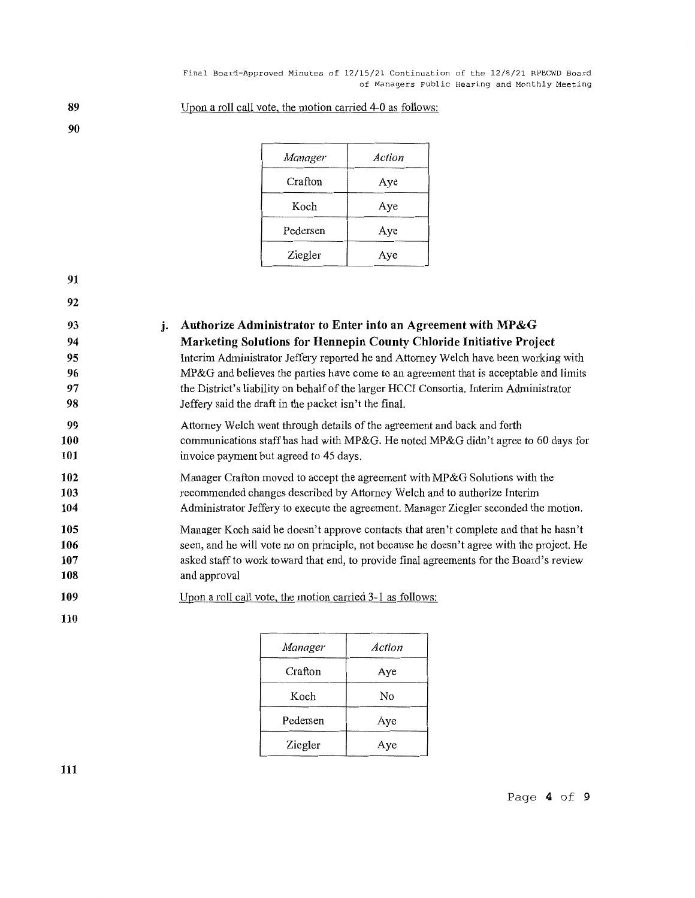| Manager  | Action |
|----------|--------|
| Crafton  | Aye    |
| Koch     | Aye    |
| Pedersen | Aye    |
| Ziegler  | Aye    |

Upon a roll call vote, the motion carried 4-0 as follows:

**91** 

**89 90** 

**92** 

| j. Authorize Administrator to Enter into an Agreement with MP&G                        |
|----------------------------------------------------------------------------------------|
| Marketing Solutions for Hennepin County Chloride Initiative Project                    |
| Interim Administrator Jeffery reported he and Attorney Welch have been working with    |
| MP&G and believes the parties have come to an agreement that is acceptable and limits  |
| the District's liability on behalf of the larger HCCI Consortia. Interim Administrator |

**99 100 101**  Attorney Welch went through details of the agreement and back and forth communications staff has had with MP&G. He noted MP&G didn't agree to 60 days for invoice payment but agreed to 45 days.

Jeffery said the draft in the packet isn't the final.

- **102 103 104**  Manager Crafton moved to accept the agreement with MP&G Solutions with the recommended changes described by Attorney Welch and to authorize Interim Administrator Jeffery to execute the agreement. Manager Ziegler seconded the motion.
- **105 106 107 108**  Manager Koch said he doesn't approve contacts that aren't complete and that he hasn't seen, and he will vote no on principle, not because he doesn't agree with the project. He asked staff to work toward that end, to provide final agreements for the Board's review and approval
- **109**  Upon a roll call vote, the motion carried 3-1 as follows:

**110** 

| Manager  | Action |
|----------|--------|
| Crafton  | Aye    |
| Koch     | No     |
| Pedersen | Aye    |
| Ziegler  | Aye    |

**111**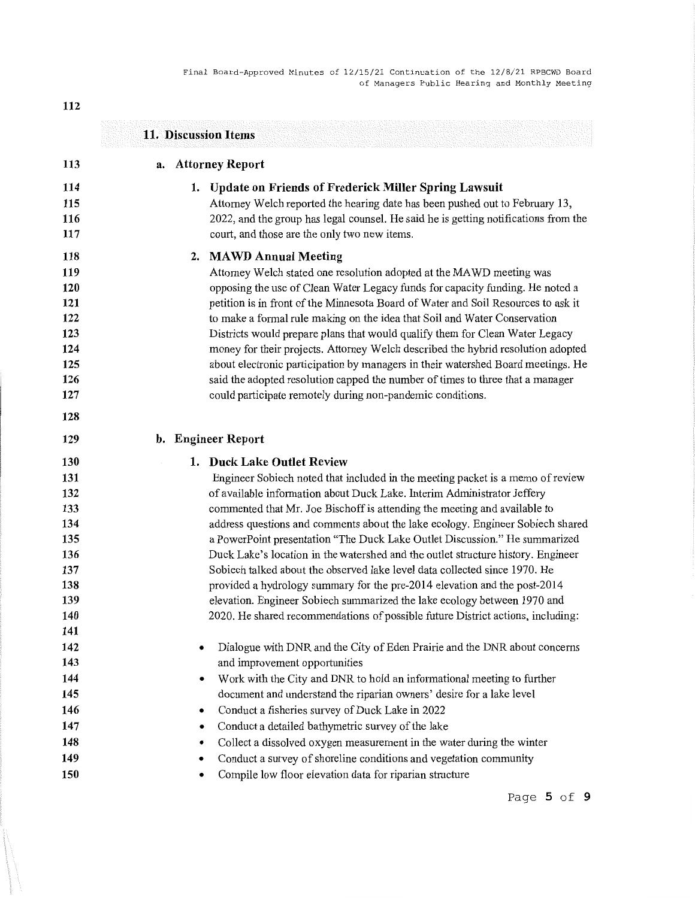|                                                                                  | 11. Discussion Items                                                                                                                                                                                                                                                                                                                                                                                                                                                                                                                                                                                                                                                                                                                                                                                                                               |
|----------------------------------------------------------------------------------|----------------------------------------------------------------------------------------------------------------------------------------------------------------------------------------------------------------------------------------------------------------------------------------------------------------------------------------------------------------------------------------------------------------------------------------------------------------------------------------------------------------------------------------------------------------------------------------------------------------------------------------------------------------------------------------------------------------------------------------------------------------------------------------------------------------------------------------------------|
| 113                                                                              | a. Attorney Report                                                                                                                                                                                                                                                                                                                                                                                                                                                                                                                                                                                                                                                                                                                                                                                                                                 |
| 114<br>115<br>116<br>117                                                         | <b>Update on Friends of Frederick Miller Spring Lawsuit</b><br>1.<br>Attorney Welch reported the hearing date has been pushed out to February 13,<br>2022, and the group has legal counsel. He said he is getting notifications from the<br>court, and those are the only two new items.                                                                                                                                                                                                                                                                                                                                                                                                                                                                                                                                                           |
| 118<br>119<br>120<br>121<br>122<br>123<br>124<br>125<br>126<br>127<br>128        | <b>MAWD Annual Meeting</b><br>2.<br>Attorney Welch stated one resolution adopted at the MAWD meeting was<br>opposing the use of Clean Water Legacy funds for capacity funding. He noted a<br>petition is in front of the Minnesota Board of Water and Soil Resources to ask it<br>to make a formal rule making on the idea that Soil and Water Conservation<br>Districts would prepare plans that would qualify them for Clean Water Legacy<br>money for their projects. Attorney Welch described the hybrid resolution adopted<br>about electronic participation by managers in their watershed Board meetings. He<br>said the adopted resolution capped the number of times to three that a manager<br>could participate remotely during non-pandemic conditions.                                                                                |
| 129                                                                              | b. Engineer Report                                                                                                                                                                                                                                                                                                                                                                                                                                                                                                                                                                                                                                                                                                                                                                                                                                 |
| 130<br>131<br>132<br>133<br>134<br>135<br>136<br>137<br>138<br>139<br>140<br>141 | 1. Duck Lake Outlet Review<br>Engineer Sobiech noted that included in the meeting packet is a memo of review<br>of available information about Duck Lake. Interim Administrator Jeffery<br>commented that Mr. Joe Bischoff is attending the meeting and available to<br>address questions and comments about the lake ecology. Engineer Sobiech shared<br>a PowerPoint presentation "The Duck Lake Outlet Discussion." He summarized<br>Duck Lake's location in the watershed and the outlet structure history. Engineer<br>Sobiech talked about the observed lake level data collected since 1970. He<br>provided a hydrology summary for the pre-2014 elevation and the post-2014<br>elevation. Engineer Sobiech summarized the lake ecology between 1970 and<br>2020. He shared recommendations of possible future District actions, including: |
| 142<br>143<br>144<br>145<br>146<br>147<br>148<br>149<br>150                      | Dialogue with DNR and the City of Eden Prairie and the DNR about concerns<br>and improvement opportunities<br>Work with the City and DNR to hold an informational meeting to further<br>٠<br>document and understand the riparian owners' desire for a lake level<br>Conduct a fisheries survey of Duck Lake in 2022<br>Conduct a detailed bathymetric survey of the lake<br>Collect a dissolved oxygen measurement in the water during the winter<br>Conduct a survey of shoreline conditions and vegetation community<br>Compile low floor elevation data for riparian structure                                                                                                                                                                                                                                                                 |

Page **5 of 9** 

**112**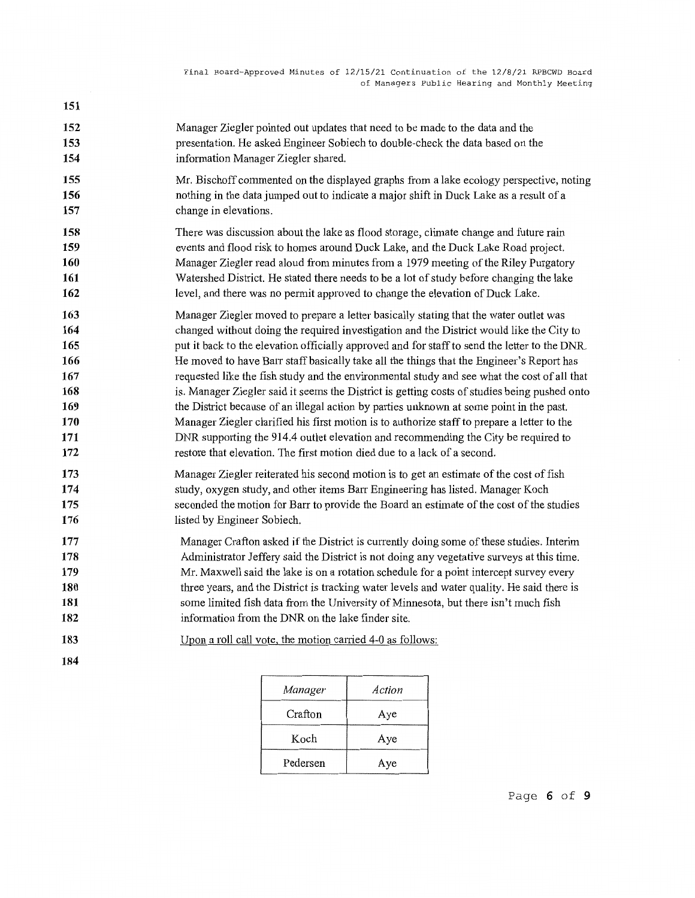**152 153 154**  Manager Ziegler pointed out updates that need to be made to the data and the presentation. He asked Engineer Sobiech to double-check the data based on the information Manager Ziegler shared.

- Mr. Bischoff commented on the displayed graphs from a lake ecology perspective, noting nothing in the data jumped out to indicate a major shift in Duck Lake as a result of a change in elevations.
- **158 159 160 161 162**  There was discussion about the lake as flood storage, climate change and future rain events and flood risk to homes around Duck Lake, and the Duck Lake Road project. Manager Ziegler read aloud from minutes from a 1979 meeting of the Riley Purgatory Watershed District. He stated there needs to be a lot of study before changing the lake level, and there was no permit approved to change the elevation of Duck Lake.
- **163 164 165 166 167 168 169 170 171 172**  Manager Ziegler moved to prepare a letter basically stating that the water outlet was changed without doing the required investigation and the District would like the City to put it back to the elevation officially approved and for staff to send the letter to the DNR. He moved to have Barr staff basically take all the things that the Engineer's Report has requested like the fish study and the environmental study and see what the cost of all that is. Manager Ziegler said it seems the District is getting costs of studies being pushed onto the District because of an illegal action by parties unknown at some point in the past. Manager Ziegler clarified his first motion is to authorize staff to prepare a letter to the **DNR** supporting the 914.4 outlet elevation and recommending the City be required to restore that elevation. The first motion died due to a lack of a second.
- **173 174 175 176**  Manager Ziegler reiterated his second motion is to get an estimate of the cost of fish study, oxygen study, and other items Barr Engineering has listed. Manager Koch seconded the motion for Barr to provide the Board an estimate of the cost of the studies listed by Engineer Sobiech.
- **177 178 179 180 181 182**  Manager Crafton asked if the District is currently doing some of these studies. Interim Administrator Jeffery said the District is not doing any vegetative surveys at this time. Mr. Maxwell said the lake is on a rotation schedule for a point intercept survey every three years, and the District is tracking water levels and water quality. He said there is some limited fish data from the University of Minnesota, but there isn't much fish information from the DNR on the lake finder site.
	- Upon a roll call vote, the motion carried 4-0 as follows:
- **183 184**

**151** 

**155 156 157** 

| Manager  | Action |
|----------|--------|
| Crafton  | Aye    |
| Koch     | Aye    |
| Pedersen | Aye    |

Page **6 of 9**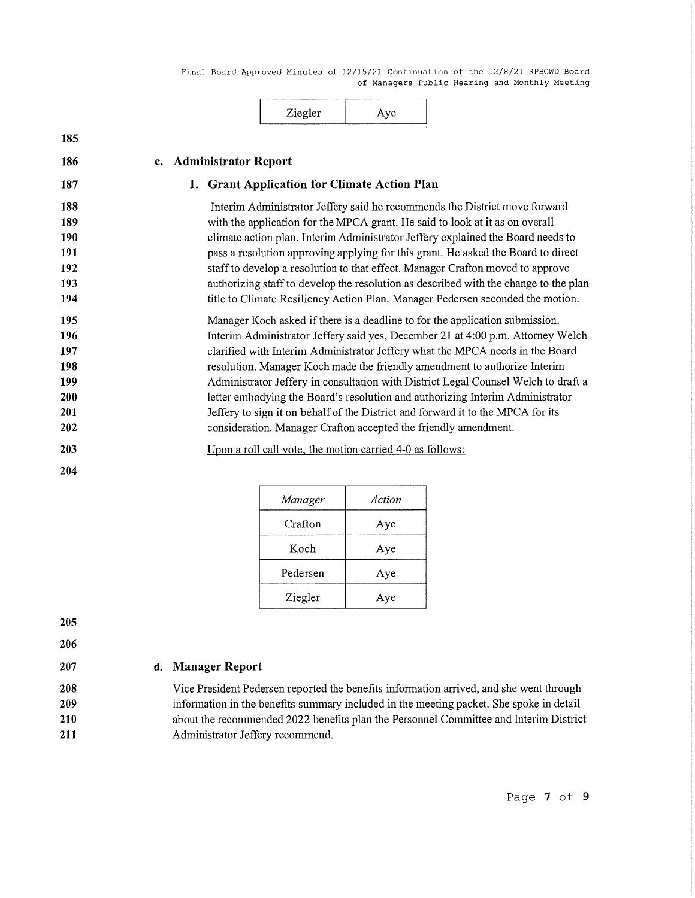| Zie oler<br>-- |  |
|----------------|--|
|                |  |

| 185                                                  |                                                                                                                                                                                                                                                                                                                                                                                                                                                                                                                                                                                                                                                            |
|------------------------------------------------------|------------------------------------------------------------------------------------------------------------------------------------------------------------------------------------------------------------------------------------------------------------------------------------------------------------------------------------------------------------------------------------------------------------------------------------------------------------------------------------------------------------------------------------------------------------------------------------------------------------------------------------------------------------|
| 186                                                  | <b>Administrator Report</b><br>c.                                                                                                                                                                                                                                                                                                                                                                                                                                                                                                                                                                                                                          |
| 187                                                  | 1. Grant Application for Climate Action Plan                                                                                                                                                                                                                                                                                                                                                                                                                                                                                                                                                                                                               |
| 188<br>189<br>190<br>191<br>192<br>193<br>194        | Interim Administrator Jeffery said he recommends the District move forward<br>with the application for the MPCA grant. He said to look at it as on overall<br>climate action plan. Interim Administrator Jeffery explained the Board needs to<br>pass a resolution approving applying for this grant. He asked the Board to direct<br>staff to develop a resolution to that effect. Manager Crafton moved to approve<br>authorizing staff to develop the resolution as described with the change to the plan<br>title to Climate Resiliency Action Plan. Manager Pedersen seconded the motion.                                                             |
| 195<br>196<br>197<br>198<br>199<br>200<br>201<br>202 | Manager Koch asked if there is a deadline to for the application submission.<br>Interim Administrator Jeffery said yes, December 21 at 4:00 p.m. Attorney Welch<br>clarified with Interim Administrator Jeffery what the MPCA needs in the Board<br>resolution. Manager Koch made the friendly amendment to authorize Interim<br>Administrator Jeffery in consultation with District Legal Counsel Welch to draft a<br>letter embodying the Board's resolution and authorizing Interim Administrator<br>Jeffery to sign it on behalf of the District and forward it to the MPCA for its<br>consideration. Manager Crafton accepted the friendly amendment. |
| 203<br>204                                           | Upon a roll call vote, the motion carried 4-0 as follows:                                                                                                                                                                                                                                                                                                                                                                                                                                                                                                                                                                                                  |
|                                                      |                                                                                                                                                                                                                                                                                                                                                                                                                                                                                                                                                                                                                                                            |

| Manager  | Action |
|----------|--------|
| Crafton  | Aye    |
| Koch     | Aye    |
| Pedersen | Aye    |
| Ziegler  | Aye    |

**205** 

**206 207** 

# **d. Manager Report**

Vice President Pedersen reported the benefits information arrived, and she went through information in the benefits summary included in the meeting packet. She spoke in detail about the recommended 2022 benefits plan the Personnel Committee and Interim District Administrator Jeffery recommend.

Page **7 of 9**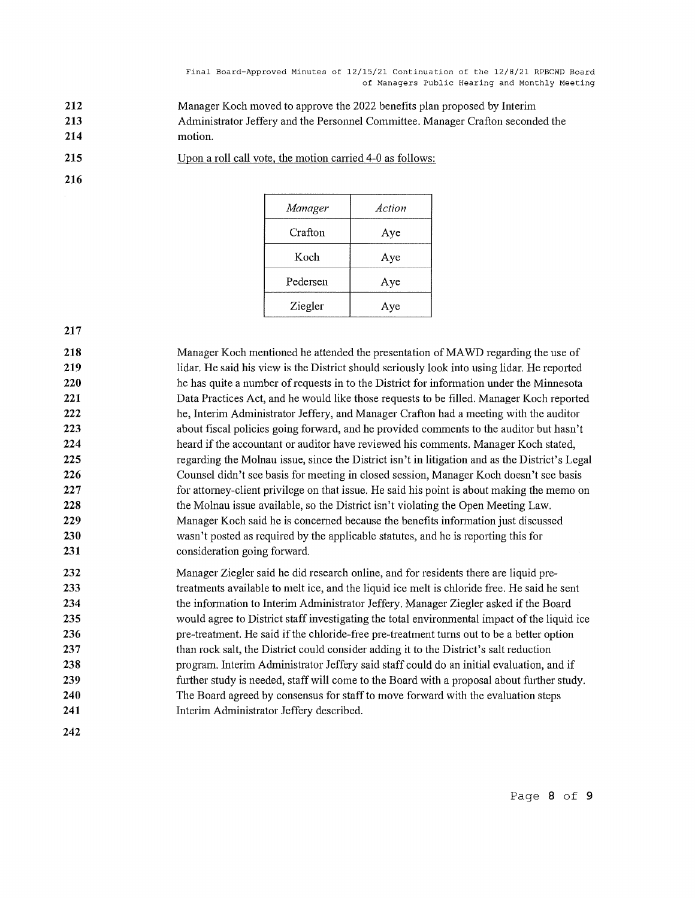- **212 213 214**  Manager Koch moved to approve the 2022 benefits plan proposed by Interim Administrator Jeffery and the Personnel Committee. Manager Crafton seconded the motion.
- **215**  Upon a roll call vote, the motion carried 4-0 as follows:

| Manager  | Action |
|----------|--------|
| Crafton  | Aye    |
| Koch     | Aye    |
| Pedersen | Aye    |
| Ziegler  | ıе     |

**217** 

**216** 

**218 219 220 221 222 223 224 225 226 227 228 229 230 231**  Manager Koch mentioned he attended the presentation of MA WD regarding the use of lidar. He said his view is the District should seriously look into using lidar. He reported he has quite a number of requests in to the District for information under the Minnesota Data Practices Act, and he would like those requests to be filled. Manager Koch reported he, Interim Administrator Jeffery, and Manager Crafton had a meeting with the auditor about fiscal policies going forward, and he provided comments to the auditor but hasn't heard if the accountant or auditor have reviewed his comments. Manager Koch stated, regarding the Molnau issue, since the District isn't in litigation and as the District's Legal Counsel didn't see basis for meeting in closed session, Manager Koch doesn't see basis for attorney-client privilege on that issue. He said his point is about making the memo on the Molnau issue available, so the District isn't violating the Open Meeting Law. Manager Koch said he is concerned because the benefits information just discussed wasn't posted as required by the applicable statutes, and he is reporting this for consideration going forward.

- **232 233 234 235 236 237 238 239 240 241**  Manager Ziegler said he did research online, and for residents there are liquid pretreatments available to melt ice, and the liquid ice melt is chloride free. He said he sent the information to Interim Administrator Jeffery. Manager Ziegler asked if the Board would agree to District staff investigating the total environmental impact of the liquid ice pre-treatment. He said if the chloride-free pre-treatment turns out to be a better option than rock salt, the District could consider adding it to the District's salt reduction program. Interim Administrator Jeffery said staff could do an initial evaluation, and if further study is needed, staff will come to the Board with a proposal about further study. The Board agreed by consensus for staff to move forward with the evaluation steps Interim Administrator Jeffery described.
- **242**